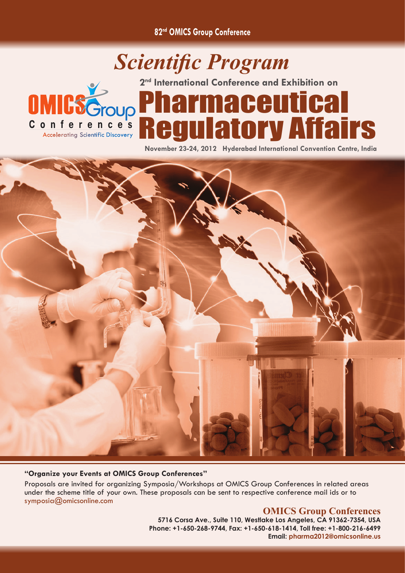**82nd OMICS Group Conference**

## *Scientific Program* **2nd International Conference and Exhibition on**Pharmaceutical **OMICSGroup** Regulatory Affairs Conference's **Accelerating Scientific Discovery**

**November 23-24, 2012 Hyderabad International Convention Centre, India**



## **"Organize your Events at OMICS Group Conferences"**

Proposals are invited for organizing Symposia/Workshops at OMICS Group Conferences in related areas under the scheme title of your own. These proposals can be sent to respective conference mail ids or to symposia@omicsonline.com

## **OMICS Group Conferences**

**5716 Corsa Ave., Suite 110, Westlake Los Angeles, CA 91362-7354, USA Phone: +1-650-268-9744, Fax: +1-650-618-1414, Toll free: +1-800-216-6499 Email: pharma2012@omicsonline.us**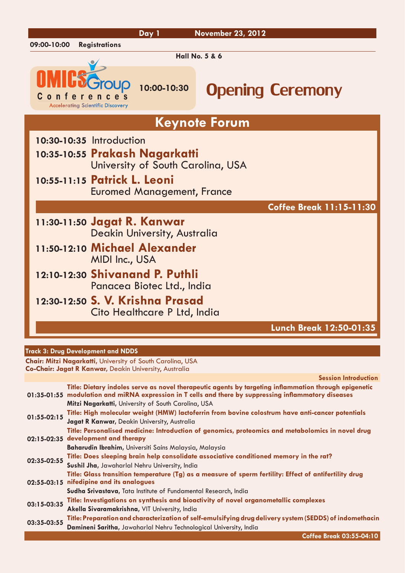|                                                          |                                                         | Day 1                                                                                                    | <b>November 23, 2012</b>        |
|----------------------------------------------------------|---------------------------------------------------------|----------------------------------------------------------------------------------------------------------|---------------------------------|
| 09:00-10:00                                              | <b>Registrations</b>                                    |                                                                                                          |                                 |
|                                                          |                                                         |                                                                                                          | <b>Hall No. 5 &amp; 6</b>       |
| onte                                                     | Group<br>e.<br><b>Accelerating Scientific Discovery</b> | 10:00-10:30                                                                                              | <b>Opening Ceremony</b>         |
|                                                          |                                                         |                                                                                                          | <b>Keynote Forum</b>            |
| 10:30-10:35 Introduction<br>10:55-11:15 Patrick L. Leoni |                                                         | 10:35-10:55 Prakash Nagarkatti<br>University of South Carolina, USA<br><b>Euromed Management, France</b> |                                 |
|                                                          |                                                         |                                                                                                          | <b>Coffee Break 11:15-11:30</b> |
| 11:30-11:50 Jagat R. Kanwar                              |                                                         | Deakin University, Australia                                                                             |                                 |
|                                                          | MIDI Inc., USA                                          | 11:50-12:10 Michael Alexander                                                                            |                                 |
|                                                          |                                                         | 12:10-12:30 Shivanand P. Puthli<br>Panacea Biotec Ltd., India                                            |                                 |
|                                                          |                                                         | 12:30-12:50 S. V. Krishna Prasad<br>Cito Healthcare P Ltd, India                                         |                                 |
|                                                          |                                                         |                                                                                                          | Lunch Break 12:50-01:35         |

## **Track 3: Drug Development and NDDS**

**Chair: Mitzi Nagarkatti,** University of South Carolina, USA **Co-Chair: Jagat R Kanwar,** Deakin University, Australia

**Session Introduction**

|             | Title: Dietary indoles serve as novel therapeutic agents by targeting inflammation through epigenetic<br>01:35-01:55 modulation and miRNA expression in T cells and there by suppressing inflammatory diseases |
|-------------|----------------------------------------------------------------------------------------------------------------------------------------------------------------------------------------------------------------|
|             | Mitzi Nagarkatti, University of South Carolina, USA                                                                                                                                                            |
| 01:55-02:15 | Title: High molecular weight (HMW) lactoferrin from bovine colostrum have anti-cancer potentials                                                                                                               |
|             | Jagat R Kanwar, Deakin University, Australia                                                                                                                                                                   |
|             | Title: Personalised medicine: Introduction of genomics, proteomics and metabolomics in novel drug                                                                                                              |
|             | 02:15-02:35 development and therapy                                                                                                                                                                            |
|             | Baharudin Ibrahim, Universiti Sains Malaysia, Malaysia                                                                                                                                                         |
| 02:35-02:55 | Title: Does sleeping brain help consolidate associative conditioned memory in the rat?                                                                                                                         |
|             | Sushil Jha, Jawaharlal Nehru University, India                                                                                                                                                                 |
|             | Title: Glass transition temperature (Tg) as a measure of sperm fertility: Effect of antifertility drug                                                                                                         |
|             | 02:55-03:15 nifedipine and its analogues                                                                                                                                                                       |
|             | Sudha Srivastava, Tata Institute of Fundamental Research, India                                                                                                                                                |
| 03:15-03:35 | Title: Investigations on synthesis and bioactivity of novel organometallic complexes                                                                                                                           |
|             | Akella Sivaramakrishna, VIT University, India                                                                                                                                                                  |
| 03:35-03:55 | Title: Preparation and characterization of self-emulsifying drug delivery system (SEDDS) of indomethacin                                                                                                       |
|             | Damineni Saritha, Jawaharlal Nehru Technological University, India                                                                                                                                             |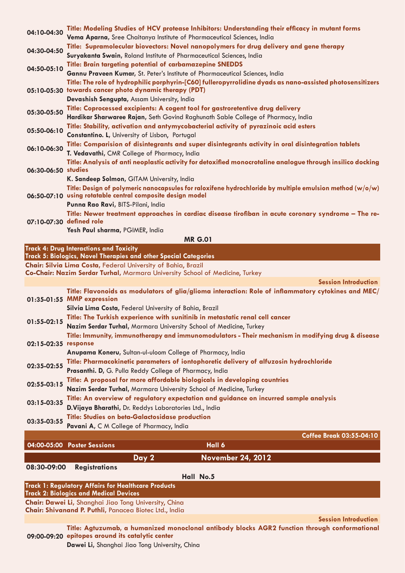| 04:10-04:30                                               | Title: Modeling Studies of HCV protease Inhibitors: Understanding their efficacy in mutant forms                                                      |
|-----------------------------------------------------------|-------------------------------------------------------------------------------------------------------------------------------------------------------|
|                                                           | Vema Aparna, Sree Chaitanya Institute of Pharmaceutical Sciences, India                                                                               |
| 04:30-04:50                                               | Title: Supramolecular biovectors: Novel nanopolymers for drug delivery and gene therapy                                                               |
|                                                           | Suryakanta Swain, Roland Institute of Pharmaceutical Sciences, India                                                                                  |
| 04:50-05:10                                               | Title: Brain targeting potential of carbamazepine SNEDDS                                                                                              |
|                                                           | Gannu Praveen Kumar, St. Peter's Institute of Pharmaceutical Sciences, India                                                                          |
|                                                           | Title: The role of hydrophilic porphyrin-[C60] fulleropyrrolidine dyads as nano-assisted photosensitizers                                             |
|                                                           | 05:10-05:30 towards cancer photo dynamic therapy (PDT)                                                                                                |
|                                                           | Devashish Sengupta, Assam University, India                                                                                                           |
| 05:30-05:50                                               | Title: Coprocessed excipients: A cogent tool for gastroretentive drug delivery                                                                        |
|                                                           | Hardikar Sharwaree Rajan, Seth Govind Raghunath Sable College of Pharmacy, India                                                                      |
| 05:50-06:10                                               | Title: Stability, activation and antymycobacterial activity of pyrazinoic acid esters                                                                 |
|                                                           | Constantino. L, University of Lisbon, Portugal<br>Title: Comparision of disintegrants and super disintegrants activity in oral disintegration tablets |
| 06:10-06:30                                               | T. Vedavathi, CMR College of Pharmacy, India                                                                                                          |
|                                                           | Title: Analysis of anti neoplastic activity for detoxified monocrotaline analogue through insilico docking                                            |
| 06:30-06:50 studies                                       |                                                                                                                                                       |
|                                                           | K. Sandeep Solmon, GITAM University, India                                                                                                            |
|                                                           | Title: Design of polymeric nanocapsules for raloxifene hydrochloride by multiple emulsion method (w/o/w)                                              |
|                                                           | 06:50-07:10 using rotatable central composite design model                                                                                            |
|                                                           | Punna Rao Ravi, BITS-Pilani, India                                                                                                                    |
| 07:10-07:30 defined role                                  | Title: Newer treatment approaches in cardiac disease tirofiban in acute coronary syndrome – The re-                                                   |
|                                                           |                                                                                                                                                       |
|                                                           | Yesh Paul sharma, PGIMER, India                                                                                                                       |
| <b>MR G.01</b><br>Track 4: Drug Interactions and Toxicity |                                                                                                                                                       |
|                                                           | Track 5: Biologics, Novel Therapies and other Special Categories                                                                                      |
|                                                           | Chair: Silvia Lima Costa, Federal University of Bahia, Brazil                                                                                         |
|                                                           | Co-Chair: Nazim Serdar Turhal, Marmara University School of Medicine, Turkey                                                                          |
|                                                           | <b>Session Introduction</b>                                                                                                                           |

|                      | Title: Flavonoids as modulators of glia/glioma interaction: Role of inflammatory cytokines and MEC/<br>01:35-01:55 MMP expression |
|----------------------|-----------------------------------------------------------------------------------------------------------------------------------|
|                      | Silvia Lima Costa, Federal University of Bahia, Brazil                                                                            |
| 01:55-02:15          | Title: The Turkish experience with sunitinib in metastatic renal cell cancer                                                      |
|                      | Nazim Serdar Turhal, Marmara University School of Medicine, Turkey                                                                |
| 02:15-02:35 response | Title: Immunity, immunotherapy and immunomodulators - Their mechanism in modifying drug & disease                                 |
|                      | Anupama Koneru, Sultan-ul-uloom College of Pharmacy, India                                                                        |
| 02:35-02:55          | Title: Pharmacokinetic parameters of iontophoretic delivery of alfuzosin hydrochloride                                            |
|                      | Prasanthi. D, G. Pulla Reddy College of Pharmacy, India                                                                           |
| 02:55-03:15          | Title: A proposal for more affordable biologicals in developing countries                                                         |
|                      | Nazim Serdar Turhal, Marmara University School of Medicine, Turkey                                                                |
| 03:15-03:35          | Title: An overview of regulatory expectation and guidance on incurred sample analysis                                             |
|                      | D. Vijaya Bharathi, Dr. Reddys Laboratories Ltd., India                                                                           |
| 03:35-03:55          | Title: Studies on beta-Galactosidase production                                                                                   |
|                      | Pavani A, C M College of Pharmacy, India                                                                                          |
|                      | <b>Coffee Break 03:55-04:10</b>                                                                                                   |

| 08:30-09:00 | <b>Registrations</b> |
|-------------|----------------------|

**Hall No.5**

**Day 2 November 24, 2012**

| <b>Track 1: Regulatory Affairs for Healthcare Products</b><br><b>Track 2: Biologics and Medical Devices</b>     |
|-----------------------------------------------------------------------------------------------------------------|
| Chair: Dawei Li, Shanghai Jiao Tong University, China<br>Chair: Shivanand P. Puthli, Panacea Biotec Ltd., India |
|                                                                                                                 |
|                                                                                                                 |

**Session Introduction**

**09:00-09:20 epitopes around its catalytic center Title: Agtuzumab, a humanized monoclonal antibody blocks AGR2 function through conformational** 

**Dawei Li,** Shanghai Jiao Tong University, China

**04:00-05:00 Poster Sessions Hall 6**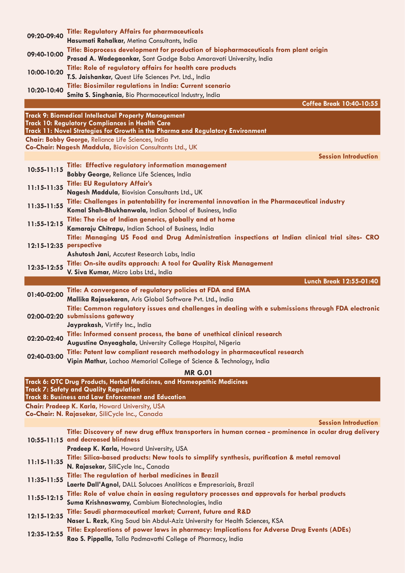| 09:20-09:40             | <b>Title: Regulatory Affairs for pharmaceuticals</b>                                                                                   |
|-------------------------|----------------------------------------------------------------------------------------------------------------------------------------|
|                         | Hasumati Rahalkar, Metina Consultants, India                                                                                           |
| 09:40-10:00             | Title: Bioprocess development for production of biopharmaceuticals from plant origin                                                   |
|                         | Prasad A. Wadegaonkar, Sant Gadge Baba Amaravati University, India                                                                     |
| 10:00-10:20             | Title: Role of regulatory affairs for health care products                                                                             |
|                         | T.S. Jaishankar, Quest Life Sciences Pvt. Ltd., India                                                                                  |
| 10:20-10:40             | Title: Biosimilar regulations in India: Current scenario<br>Smita S. Singhania, Bio Pharmaceutical Industry, India                     |
|                         | <b>Coffee Break 10:40-10:55</b>                                                                                                        |
|                         |                                                                                                                                        |
|                         | Track 9: Biomedical Intellectual Property Management<br><b>Track 10: Regulatory Compliances in Health Care</b>                         |
|                         | Track 11: Novel Strategies for Growth in the Pharma and Regulatory Environment                                                         |
|                         | Chair: Bobby George, Reliance Life Sciences, India                                                                                     |
|                         | Co-Chair: Nagesh Maddula, Biovision Consultants Ltd., UK                                                                               |
|                         | <b>Session Introduction</b>                                                                                                            |
| $10:55 - 11:15$         | Title: Effective regulatory information management                                                                                     |
|                         | Bobby George, Reliance Life Sciences, India                                                                                            |
| $11:15 - 11:35$         | <b>Title: EU Regulatory Affair's</b>                                                                                                   |
|                         | Nagesh Maddula, Biovision Consultants Ltd., UK                                                                                         |
| $11:35-11:55$           | Title: Challenges in patentability for incremental innovation in the Pharmaceutical industry                                           |
|                         | Komal Shah-Bhukhanwala, Indian School of Business, India<br>Title: The rise of Indian generics, globally and at home                   |
| 11:55-12:15             | Kamaraju Chitrapu, Indian School of Business, India                                                                                    |
|                         | Title: Managing US Food and Drug Administration inspections at Indian clinical trial sites- CRO                                        |
| 12:15-12:35 perspective |                                                                                                                                        |
|                         | Ashutosh Jani, Accutest Research Labs, India                                                                                           |
|                         | Title: On-site audits approach: A tool for Quality Risk Management                                                                     |
| 12:35-12:55             | V. Siva Kumar, Micro Labs Ltd., India                                                                                                  |
|                         | Lunch Break 12:55-01:40                                                                                                                |
| 01:40-02:00             | Title: A convergence of regulatory policies at FDA and EMA                                                                             |
|                         | Mallika Rajasekaran, Aris Global Software Pvt. Ltd., India                                                                             |
|                         | Title: Common regulatory issues and challenges in dealing with e submissions through FDA electronic<br>02:00-02:20 submissions gateway |
|                         | Jayprakash, Virtify Inc., India                                                                                                        |
|                         | Title: Informed consent process, the bane of unethical clinical research                                                               |
| 02:20-02:40             | Augustine Onyeaghala, University College Hospital, Nigeria                                                                             |
|                         | Title: Patent law compliant research methodology in pharmaceutical research                                                            |
| 02:40-03:00             | Vipin Mathur, Lachoo Memorial College of Science & Technology, India                                                                   |
|                         | <b>MR G.01</b>                                                                                                                         |
|                         | Track 6: OTC Drug Products, Herbal Medicines, and Homeopathic Medicines                                                                |
|                         | <b>Track 7: Safety and Quality Regulation</b>                                                                                          |
|                         | Track 8: Business and Law Enforcement and Education                                                                                    |
|                         | Chair: Pradeep K. Karla, Howard University, USA                                                                                        |
|                         | Co-Chair: N. Rajasekar, SiliCycle Inc., Canada<br><b>Session Introduction</b>                                                          |
|                         | Title: Discovery of new drug efflux transporters in human cornea - prominence in ocular drug delivery                                  |
|                         | 10:55-11:15 and decreased blindness                                                                                                    |
|                         | Pradeep K. Karla, Howard University, USA                                                                                               |
| $11:15 - 11:35$         | Title: Silica-based products: New tools to simplify synthesis, purification & metal removal                                            |
|                         | N. Rajasekar, SiliCycle Inc., Canada                                                                                                   |
| 11:35-11:55             | Title: The regulation of herbal medicines in Brazil                                                                                    |
|                         | Laerte Dall'Agnol, DALL Solucoes Analíticas e Empresariais, Brazil                                                                     |
| 11:55-12:15             | Title: Role of value chain in easing regulatory processes and approvals for herbal products                                            |
|                         | Suma Krishnaswamy, Cambium Biotechnologies, India                                                                                      |
| 12:15-12:35             | Title: Saudi pharmaceutical market; Current, future and R&D                                                                            |
|                         | Naser L. Rezk, King Saud bin Abdul-Aziz University for Health Sciences, KSA                                                            |
| 12:35-12:55             | Title: Explorations of power laws in pharmacy: Implications for Adverse Drug Events (ADEs)                                             |
|                         | Rao S. Pippalla, Talla Padmavathi College of Pharmacy, India                                                                           |